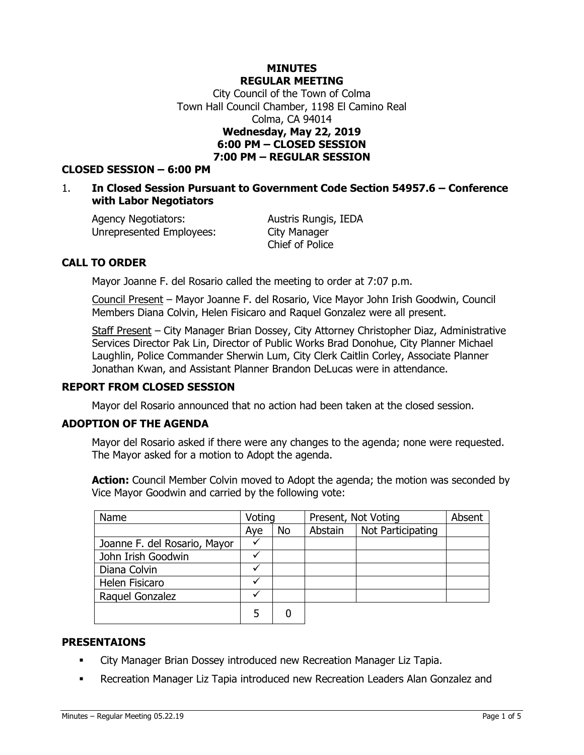## **MINUTES REGULAR MEETING**

City Council of the Town of Colma Town Hall Council Chamber, 1198 El Camino Real Colma, CA 94014 **Wednesday, May 22, 2019 6:00 PM – CLOSED SESSION 7:00 PM – REGULAR SESSION**

### **CLOSED SESSION – 6:00 PM**

### 1. **In Closed Session Pursuant to Government Code Section 54957.6 – Conference with Labor Negotiators**

Agency Negotiators: Austris Rungis, IEDA Unrepresented Employees: City Manager

Chief of Police

## **CALL TO ORDER**

Mayor Joanne F. del Rosario called the meeting to order at 7:07 p.m.

Council Present – Mayor Joanne F. del Rosario, Vice Mayor John Irish Goodwin, Council Members Diana Colvin, Helen Fisicaro and Raquel Gonzalez were all present.

Staff Present – City Manager Brian Dossey, City Attorney Christopher Diaz, Administrative Services Director Pak Lin, Director of Public Works Brad Donohue, City Planner Michael Laughlin, Police Commander Sherwin Lum, City Clerk Caitlin Corley, Associate Planner Jonathan Kwan, and Assistant Planner Brandon DeLucas were in attendance.

#### **REPORT FROM CLOSED SESSION**

Mayor del Rosario announced that no action had been taken at the closed session.

#### **ADOPTION OF THE AGENDA**

Mayor del Rosario asked if there were any changes to the agenda; none were requested. The Mayor asked for a motion to Adopt the agenda.

**Action:** Council Member Colvin moved to Adopt the agenda; the motion was seconded by Vice Mayor Goodwin and carried by the following vote:

| Name                         | Voting |           | Present, Not Voting |                   | Absent |
|------------------------------|--------|-----------|---------------------|-------------------|--------|
|                              | Aye    | <b>No</b> | Abstain             | Not Participating |        |
| Joanne F. del Rosario, Mayor |        |           |                     |                   |        |
| John Irish Goodwin           |        |           |                     |                   |        |
| Diana Colvin                 |        |           |                     |                   |        |
| Helen Fisicaro               |        |           |                     |                   |        |
| Raquel Gonzalez              |        |           |                     |                   |        |
|                              |        |           |                     |                   |        |

#### **PRESENTAIONS**

- City Manager Brian Dossey introduced new Recreation Manager Liz Tapia.
- Recreation Manager Liz Tapia introduced new Recreation Leaders Alan Gonzalez and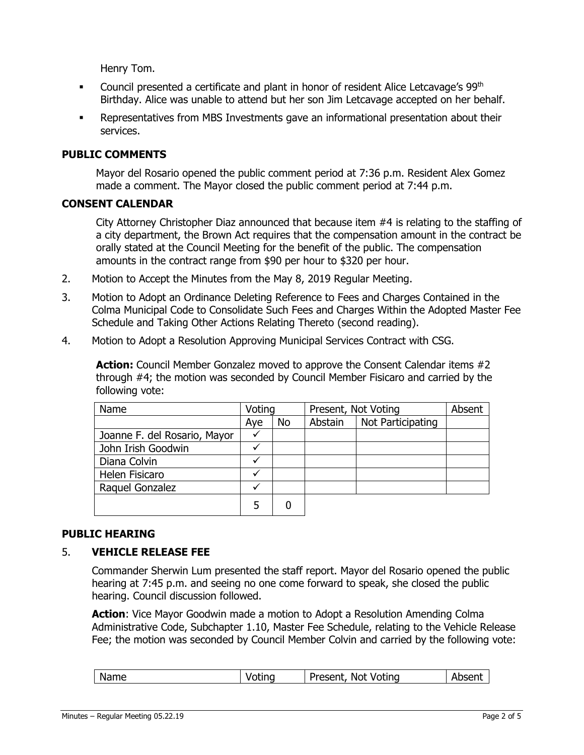Henry Tom.

- **•** Council presented a certificate and plant in honor of resident Alice Letcavage's 99<sup>th</sup> Birthday. Alice was unable to attend but her son Jim Letcavage accepted on her behalf.
- Representatives from MBS Investments gave an informational presentation about their services.

## **PUBLIC COMMENTS**

Mayor del Rosario opened the public comment period at 7:36 p.m. Resident Alex Gomez made a comment. The Mayor closed the public comment period at 7:44 p.m.

#### **CONSENT CALENDAR**

City Attorney Christopher Diaz announced that because item #4 is relating to the staffing of a city department, the Brown Act requires that the compensation amount in the contract be orally stated at the Council Meeting for the benefit of the public. The compensation amounts in the contract range from \$90 per hour to \$320 per hour.

- 2. Motion to Accept the Minutes from the May 8, 2019 Regular Meeting.
- 3. Motion to Adopt an Ordinance Deleting Reference to Fees and Charges Contained in the Colma Municipal Code to Consolidate Such Fees and Charges Within the Adopted Master Fee Schedule and Taking Other Actions Relating Thereto (second reading).
- 4. Motion to Adopt a Resolution Approving Municipal Services Contract with CSG.

**Action:** Council Member Gonzalez moved to approve the Consent Calendar items #2 through #4; the motion was seconded by Council Member Fisicaro and carried by the following vote:

| Name                         | Voting |           | Present, Not Voting |                   | Absent |
|------------------------------|--------|-----------|---------------------|-------------------|--------|
|                              | Aye    | <b>No</b> | Abstain             | Not Participating |        |
| Joanne F. del Rosario, Mayor |        |           |                     |                   |        |
| John Irish Goodwin           |        |           |                     |                   |        |
| Diana Colvin                 |        |           |                     |                   |        |
| Helen Fisicaro               |        |           |                     |                   |        |
| Raquel Gonzalez              |        |           |                     |                   |        |
|                              |        |           |                     |                   |        |

#### **PUBLIC HEARING**

### 5. **VEHICLE RELEASE FEE**

Commander Sherwin Lum presented the staff report. Mayor del Rosario opened the public hearing at 7:45 p.m. and seeing no one come forward to speak, she closed the public hearing. Council discussion followed.

**Action**: Vice Mayor Goodwin made a motion to Adopt a Resolution Amending Colma Administrative Code, Subchapter 1.10, Master Fee Schedule, relating to the Vehicle Release Fee; the motion was seconded by Council Member Colvin and carried by the following vote:

| Name<br>Not Voting<br>Present,<br>Absent<br>Voting |
|----------------------------------------------------|
|----------------------------------------------------|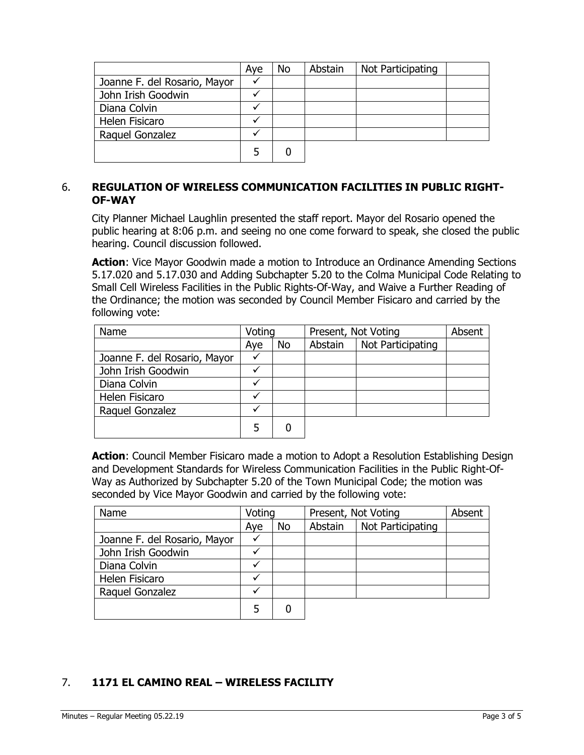|                              | Aye | No | Abstain | Not Participating |  |
|------------------------------|-----|----|---------|-------------------|--|
| Joanne F. del Rosario, Mayor |     |    |         |                   |  |
| John Irish Goodwin           |     |    |         |                   |  |
| Diana Colvin                 |     |    |         |                   |  |
| Helen Fisicaro               |     |    |         |                   |  |
| Raquel Gonzalez              |     |    |         |                   |  |
|                              | 5   |    |         |                   |  |

## 6. **REGULATION OF WIRELESS COMMUNICATION FACILITIES IN PUBLIC RIGHT-OF-WAY**

City Planner Michael Laughlin presented the staff report. Mayor del Rosario opened the public hearing at 8:06 p.m. and seeing no one come forward to speak, she closed the public hearing. Council discussion followed.

**Action**: Vice Mayor Goodwin made a motion to Introduce an Ordinance Amending Sections 5.17.020 and 5.17.030 and Adding Subchapter 5.20 to the Colma Municipal Code Relating to Small Cell Wireless Facilities in the Public Rights-Of-Way, and Waive a Further Reading of the Ordinance; the motion was seconded by Council Member Fisicaro and carried by the following vote:

| Name                         | Voting |    | Present, Not Voting |                   | Absent |
|------------------------------|--------|----|---------------------|-------------------|--------|
|                              | Aye    | No | Abstain             | Not Participating |        |
| Joanne F. del Rosario, Mayor |        |    |                     |                   |        |
| John Irish Goodwin           |        |    |                     |                   |        |
| Diana Colvin                 |        |    |                     |                   |        |
| Helen Fisicaro               |        |    |                     |                   |        |
| Raquel Gonzalez              |        |    |                     |                   |        |
|                              |        |    |                     |                   |        |

**Action**: Council Member Fisicaro made a motion to Adopt a Resolution Establishing Design and Development Standards for Wireless Communication Facilities in the Public Right-Of-Way as Authorized by Subchapter 5.20 of the Town Municipal Code; the motion was seconded by Vice Mayor Goodwin and carried by the following vote:

| Name                         | Voting |           | Present, Not Voting |                   | Absent |
|------------------------------|--------|-----------|---------------------|-------------------|--------|
|                              | Aye    | <b>No</b> | Abstain             | Not Participating |        |
| Joanne F. del Rosario, Mayor |        |           |                     |                   |        |
| John Irish Goodwin           |        |           |                     |                   |        |
| Diana Colvin                 |        |           |                     |                   |        |
| Helen Fisicaro               |        |           |                     |                   |        |
| Raquel Gonzalez              |        |           |                     |                   |        |
|                              | 5      |           |                     |                   |        |

# 7. **1171 EL CAMINO REAL – WIRELESS FACILITY**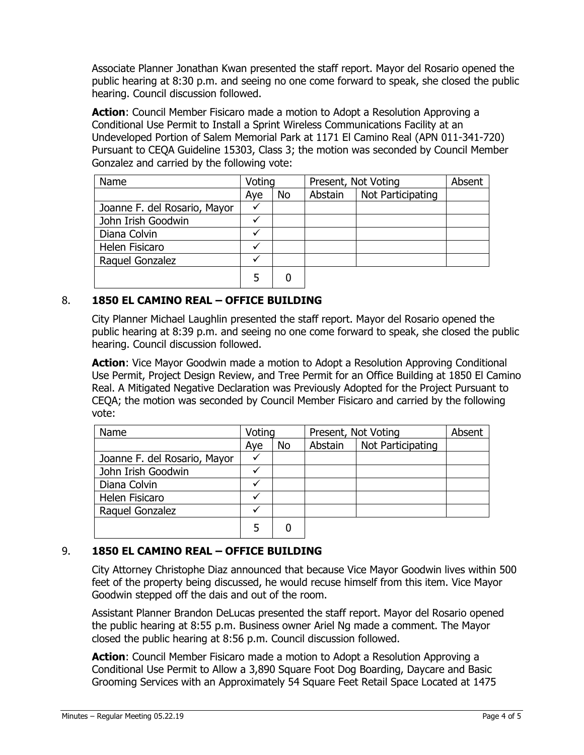Associate Planner Jonathan Kwan presented the staff report. Mayor del Rosario opened the public hearing at 8:30 p.m. and seeing no one come forward to speak, she closed the public hearing. Council discussion followed.

**Action**: Council Member Fisicaro made a motion to Adopt a Resolution Approving a Conditional Use Permit to Install a Sprint Wireless Communications Facility at an Undeveloped Portion of Salem Memorial Park at 1171 El Camino Real (APN 011-341-720) Pursuant to CEQA Guideline 15303, Class 3; the motion was seconded by Council Member Gonzalez and carried by the following vote:

| Name                         | Voting |    | Present, Not Voting |                   | Absent |
|------------------------------|--------|----|---------------------|-------------------|--------|
|                              | Aye    | No | Abstain             | Not Participating |        |
| Joanne F. del Rosario, Mayor |        |    |                     |                   |        |
| John Irish Goodwin           |        |    |                     |                   |        |
| Diana Colvin                 |        |    |                     |                   |        |
| Helen Fisicaro               |        |    |                     |                   |        |
| Raquel Gonzalez              |        |    |                     |                   |        |
|                              | 5      |    |                     |                   |        |

## 8. **1850 EL CAMINO REAL – OFFICE BUILDING**

City Planner Michael Laughlin presented the staff report. Mayor del Rosario opened the public hearing at 8:39 p.m. and seeing no one come forward to speak, she closed the public hearing. Council discussion followed.

**Action**: Vice Mayor Goodwin made a motion to Adopt a Resolution Approving Conditional Use Permit, Project Design Review, and Tree Permit for an Office Building at 1850 El Camino Real. A Mitigated Negative Declaration was Previously Adopted for the Project Pursuant to CEQA; the motion was seconded by Council Member Fisicaro and carried by the following vote:

| Name                         | Voting |    | Present, Not Voting |                   | Absent |
|------------------------------|--------|----|---------------------|-------------------|--------|
|                              | Aye    | No | Abstain             | Not Participating |        |
| Joanne F. del Rosario, Mayor | v      |    |                     |                   |        |
| John Irish Goodwin           |        |    |                     |                   |        |
| Diana Colvin                 |        |    |                     |                   |        |
| Helen Fisicaro               |        |    |                     |                   |        |
| Raquel Gonzalez              |        |    |                     |                   |        |
|                              |        |    |                     |                   |        |

## 9. **1850 EL CAMINO REAL – OFFICE BUILDING**

City Attorney Christophe Diaz announced that because Vice Mayor Goodwin lives within 500 feet of the property being discussed, he would recuse himself from this item. Vice Mayor Goodwin stepped off the dais and out of the room.

Assistant Planner Brandon DeLucas presented the staff report. Mayor del Rosario opened the public hearing at 8:55 p.m. Business owner Ariel Ng made a comment. The Mayor closed the public hearing at 8:56 p.m. Council discussion followed.

**Action**: Council Member Fisicaro made a motion to Adopt a Resolution Approving a Conditional Use Permit to Allow a 3,890 Square Foot Dog Boarding, Daycare and Basic Grooming Services with an Approximately 54 Square Feet Retail Space Located at 1475